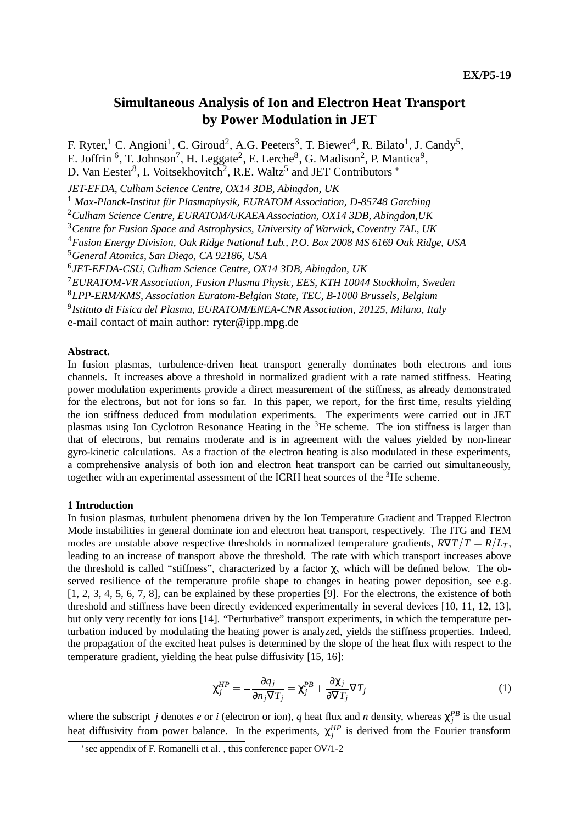# **Simultaneous Analysis of Ion and Electron Heat Transport by Power Modulation in JET**

F. Ryter,<sup>1</sup> C. Angioni<sup>1</sup>, C. Giroud<sup>2</sup>, A.G. Peeters<sup>3</sup>, T. Biewer<sup>4</sup>, R. Bilato<sup>1</sup>, J. Candy<sup>5</sup>,

E. Joffrin  $^6$ , T. Johnson<sup>7</sup>, H. Leggate<sup>2</sup>, E. Lerche<sup>8</sup>, G. Madison<sup>2</sup>, P. Mantica<sup>9</sup>,

D. Van Eester<sup>8</sup>, I. Voitsekhovitch<sup>2</sup>, R.E. Waltz<sup>5</sup> and JET Contributors  $*$ 

*JET-EFDA, Culham Science Centre, OX14 3DB, Abingdon, UK*

<sup>1</sup> Max-Planck-Institut für Plasmaphysik, EURATOM Association, D-85748 Garching

<sup>2</sup>*Culham Science Centre, EURATOM/UKAEA Association, OX14 3DB, Abingdon,UK*

<sup>3</sup>*Centre for Fusion Space and Astrophysics, University of Warwick, Coventry 7AL, UK*

<sup>4</sup>*Fusion Energy Division, Oak Ridge National Lab., P.O. Box 2008 MS 6169 Oak Ridge, USA*

<sup>5</sup>*General Atomics, San Diego, CA 92186, USA*

<sup>6</sup>*JET-EFDA-CSU, Culham Science Centre, OX14 3DB, Abingdon, UK*

<sup>7</sup>*EURATOM-VR Association, Fusion Plasma Physic, EES, KTH 10044 Stockholm, Sweden*

<sup>8</sup>*LPP-ERM/KMS, Association Euratom-Belgian State, TEC, B-1000 Brussels, Belgium*

<sup>9</sup>*Istituto di Fisica del Plasma, EURATOM/ENEA-CNR Association, 20125, Milano, Italy*

e-mail contact of main author: ryter@ipp.mpg.de

# **Abstract.**

In fusion plasmas, turbulence-driven heat transport generally dominates both electrons and ions channels. It increases above a threshold in normalized gradient with a rate named stiffness. Heating power modulation experiments provide a direct measurement of the stiffness, as already demonstrated for the electrons, but not for ions so far. In this paper, we report, for the first time, results yielding the ion stiffness deduced from modulation experiments. The experiments were carried out in JET plasmas using Ion Cyclotron Resonance Heating in the 3He scheme. The ion stiffness is larger than that of electrons, but remains moderate and is in agreement with the values yielded by non-linear gyro-kinetic calculations. As a fraction of the electron heating is also modulated in these experiments, a comprehensive analysis of both ion and electron heat transport can be carried out simultaneously, together with an experimental assessment of the ICRH heat sources of the <sup>3</sup>He scheme.

#### **1 Introduction**

In fusion plasmas, turbulent phenomena driven by the Ion Temperature Gradient and Trapped Electron Mode instabilities in general dominate ion and electron heat transport, respectively. The ITG and TEM modes are unstable above respective thresholds in normalized temperature gradients,  $R\nabla T/T = R/L_T$ , leading to an increase of transport above the threshold. The rate with which transport increases above the threshold is called "stiffness", characterized by a factor χ*<sup>s</sup>* which will be defined below. The observed resilience of the temperature profile shape to changes in heating power deposition, see e.g. [1, 2, 3, 4, 5, 6, 7, 8], can be explained by these properties [9]. For the electrons, the existence of both threshold and stiffness have been directly evidenced experimentally in several devices [10, 11, 12, 13], but only very recently for ions [14]. "Perturbative" transport experiments, in which the temperature perturbation induced by modulating the heating power is analyzed, yields the stiffness properties. Indeed, the propagation of the excited heat pulses is determined by the slope of the heat flux with respect to the temperature gradient, yielding the heat pulse diffusivity [15, 16]:

$$
\chi_j^{HP} = -\frac{\partial q_j}{\partial n_j \nabla T_j} = \chi_j^{PB} + \frac{\partial \chi_j}{\partial \nabla T_j} \nabla T_j \tag{1}
$$

where the subscript *j* denotes *e* or *i* (electron or ion), *q* heat flux and *n* density, whereas  $\chi_j^{PB}$  is the usual heat diffusivity from power balance. In the experiments,  $\chi_j^{HP}$  is derived from the Fourier transform

see appendix of F. Romanelli et al. , this conference paper OV/1-2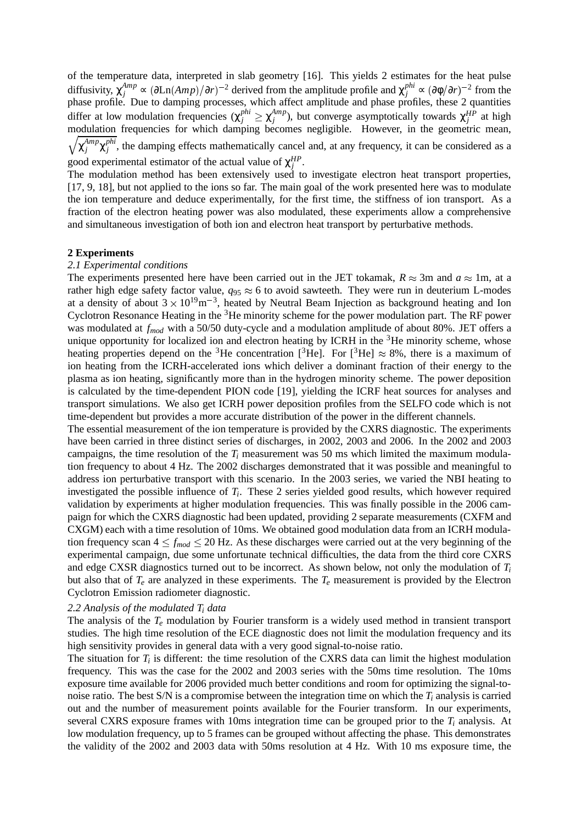of the temperature data, interpreted in slab geometry [16]. This yields 2 estimates for the heat pulse diffusivity,  $\chi_j^{Amp} \propto (\partial \text{Ln}(Amp)/\partial r)^{-2}$  derived from the amplitude profile and  $\chi_j^{phi} \propto (\partial \phi/\partial r)^{-2}$  from the phase profile. Due to damping processes, which affect amplitude and phase profiles, these 2 quantities differ at low modulation frequencies  $(\chi_j^{phi} \geq \chi_j^{Amp})$ , but converge asymptotically towards  $\chi_j^{HP}$  at high modulation frequencies for which damping becomes negligible. However, in the geometric mean,  $\chi_j^{Amp}\chi_j^{phi}$ , the damping effects mathematically cancel and, at any frequency, it can be considered as a good experimental estimator of the actual value of  $\chi_j^{HP}$ .

The modulation method has been extensively used to investigate electron heat transport properties, [17, 9, 18], but not applied to the ions so far. The main goal of the work presented here was to modulate the ion temperature and deduce experimentally, for the first time, the stiffness of ion transport. As a fraction of the electron heating power was also modulated, these experiments allow a comprehensive and simultaneous investigation of both ion and electron heat transport by perturbative methods.

# **2 Experiments**

#### *2.1 Experimental conditions*

The experiments presented here have been carried out in the JET tokamak,  $R \approx 3$ m and  $a \approx 1$ m, at a rather high edge safety factor value,  $q_{95} \approx 6$  to avoid sawteeth. They were run in deuterium L-modes at a density of about  $3 \times 10^{19}$ m<sup>-3</sup>, heated by Neutral Beam Injection as background heating and Ion Cyclotron Resonance Heating in the 3He minority scheme for the power modulation part. The RF power was modulated at *fmod* with a 50/50 duty-cycle and a modulation amplitude of about 80%. JET offers a unique opportunity for localized ion and electron heating by ICRH in the  ${}^{3}$ He minority scheme, whose heating properties depend on the <sup>3</sup>He concentration [<sup>3</sup>He]. For [<sup>3</sup>He]  $\approx 8\%$ , there is a maximum of ion heating from the ICRH-accelerated ions which deliver a dominant fraction of their energy to the plasma as ion heating, significantly more than in the hydrogen minority scheme. The power deposition is calculated by the time-dependent PION code [19], yielding the ICRF heat sources for analyses and transport simulations. We also get ICRH power deposition profiles from the SELFO code which is not time-dependent but provides a more accurate distribution of the power in the different channels.

The essential measurement of the ion temperature is provided by the CXRS diagnostic. The experiments have been carried in three distinct series of discharges, in 2002, 2003 and 2006. In the 2002 and 2003 campaigns, the time resolution of the  $T_i$  measurement was 50 ms which limited the maximum modulation frequency to about 4 Hz. The 2002 discharges demonstrated that it was possible and meaningful to address ion perturbative transport with this scenario. In the 2003 series, we varied the NBI heating to investigated the possible influence of *Ti*. These 2 series yielded good results, which however required validation by experiments at higher modulation frequencies. This was finally possible in the 2006 campaign for which the CXRS diagnostic had been updated, providing 2 separate measurements (CXFM and CXGM) each with a time resolution of 10ms. We obtained good modulation data from an ICRH modulation frequency scan  $4 \le f_{mod} \le 20$  Hz. As these discharges were carried out at the very beginning of the experimental campaign, due some unfortunate technical difficulties, the data from the third core CXRS and edge CXSR diagnostics turned out to be incorrect. As shown below, not only the modulation of *Ti* but also that of  $T_e$  are analyzed in these experiments. The  $T_e$  measurement is provided by the Electron Cyclotron Emission radiometer diagnostic.

#### *2.2 Analysis of the modulated Ti data*

The analysis of the *Te* modulation by Fourier transform is a widely used method in transient transport studies. The high time resolution of the ECE diagnostic does not limit the modulation frequency and its high sensitivity provides in general data with a very good signal-to-noise ratio.

The situation for *Ti* is different: the time resolution of the CXRS data can limit the highest modulation frequency. This was the case for the 2002 and 2003 series with the 50ms time resolution. The 10ms exposure time available for 2006 provided much better conditions and room for optimizing the signal-tonoise ratio. The best S/N is a compromise between the integration time on which the *Ti* analysis is carried out and the number of measurement points available for the Fourier transform. In our experiments, several CXRS exposure frames with 10ms integration time can be grouped prior to the *Ti* analysis. At low modulation frequency, up to 5 frames can be grouped without affecting the phase. This demonstrates the validity of the 2002 and 2003 data with 50ms resolution at 4 Hz. With 10 ms exposure time, the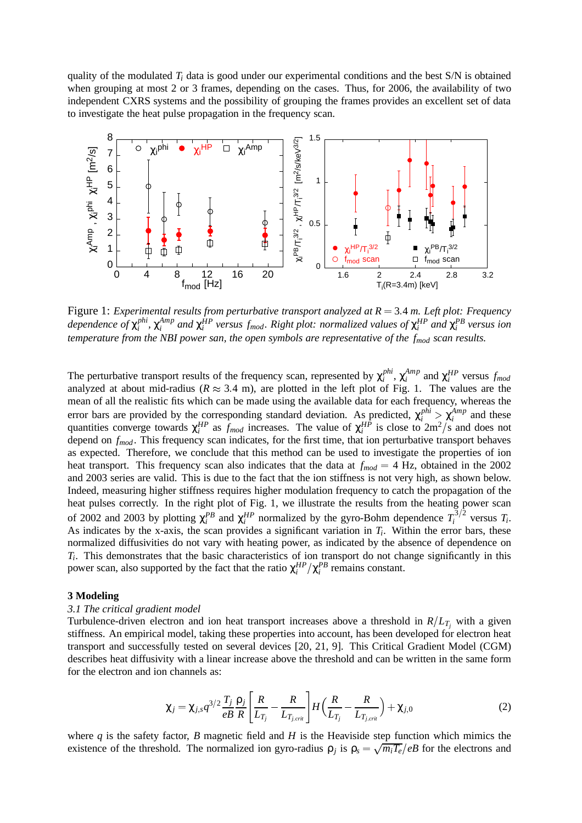quality of the modulated  $T_i$  data is good under our experimental conditions and the best  $S/N$  is obtained when grouping at most 2 or 3 frames, depending on the cases. Thus, for 2006, the availability of two independent CXRS systems and the possibility of grouping the frames provides an excellent set of data to investigate the heat pulse propagation in the frequency scan.



Figure 1: *Experimental results from perturbative transport analyzed at R* <sup>=</sup> 3:4 *m. Left plot: Frequency*  $\alpha$  *dependence of*  $\chi_i^{phi}$ ,  $\chi_i^{Amp}$  *and*  $\chi_i^{HP}$  versus  $f_{mod}$ . Right plot: normalized values of  $\chi_i^{HP}$  and  $\chi_i^{PB}$  versus ion *temperature from the NBI power san, the open symbols are representative of the fmod scan results.*

The perturbative transport results of the frequency scan, represented by  $\chi_i^{phi}$ ,  $\chi_i^{Amp}$  and  $\chi_i^{HP}$  versus  $f_{mod}$ analyzed at about mid-radius ( $R \approx 3.4$  m), are plotted in the left plot of Fig. 1. The values are the mean of all the realistic fits which can be made using the available data for each frequency, whereas the error bars are provided by the corresponding standard deviation. As predicted,  $\chi_i^{phi} > \chi_i^{Amp}$  and these quantities converge towards  $\chi_i^{HP}$  as  $f_{mod}$  increases. The value of  $\chi_i^{HP}$  is close to  $2m^2/s$  and does not depend on *f<sub>mod</sub>*. This frequency scan indicates, for the first time, that ion perturbative transport behaves as expected. Therefore, we conclude that this method can be used to investigate the properties of ion heat transport. This frequency scan also indicates that the data at  $f_{mod} = 4$  Hz, obtained in the 2002 and 2003 series are valid. This is due to the fact that the ion stiffness is not very high, as shown below. Indeed, measuring higher stiffness requires higher modulation frequency to catch the propagation of the heat pulses correctly. In the right plot of Fig. 1, we illustrate the results from the heating power scan of 2002 and 2003 by plotting  $\chi_i^{PB}$  and  $\chi_i^{HP}$  normalized by the gyro-Bohm dependence  $T_i^{3/2}$  versus  $T_i$ . As indicates by the x-axis, the scan provides a significant variation in  $T_i$ . Within the error bars, these normalized diffusivities do not vary with heating power, as indicated by the absence of dependence on *Ti*. This demonstrates that the basic characteristics of ion transport do not change significantly in this power scan, also supported by the fact that the ratio  $\chi_i^{HP}/\chi_i^{PB}$  remains constant.

## **3 Modeling**

#### *3.1 The critical gradient model*

Turbulence-driven electron and ion heat transport increases above a threshold in  $R/L_{T_j}$  with a given stiffness. An empirical model, taking these properties into account, has been developed for electron heat transport and successfully tested on several devices [20, 21, 9]. This Critical Gradient Model (CGM) describes heat diffusivity with a linear increase above the threshold and can be written in the same form for the electron and ion channels as:

$$
\chi_j = \chi_{j,s} q^{3/2} \frac{T_j}{eB} \frac{\rho_j}{R} \left[ \frac{R}{L_{T_j}} - \frac{R}{L_{T_{j,crit}}} \right] H \left( \frac{R}{L_{T_j}} - \frac{R}{L_{T_{j,crit}}} \right) + \chi_{j,0}
$$
(2)

where  $q$  is the safety factor,  $B$  magnetic field and  $H$  is the Heaviside step function which mimics the existence of the threshold. The normalized ion gyro-radius  $\rho_j$  is  $\rho_s = \sqrt{m_iT_e}/eB$  for the electrons and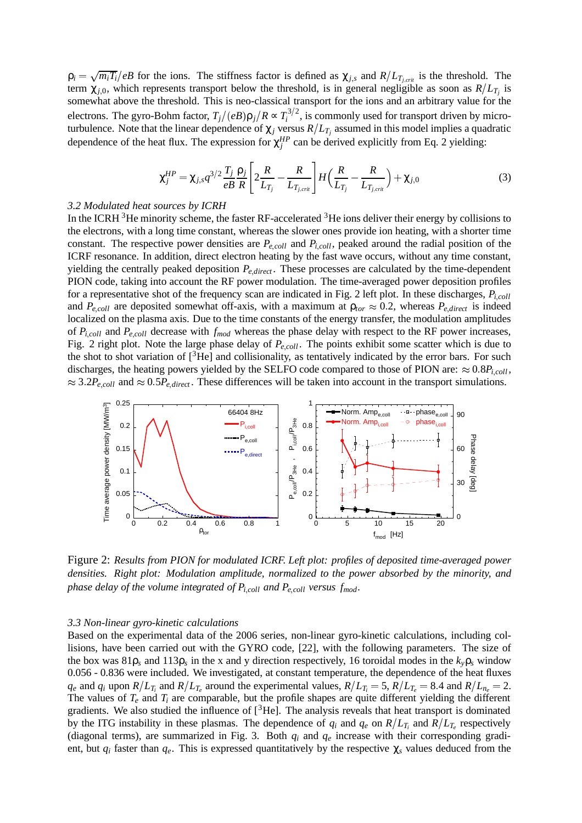$\rho_i = \sqrt{m_i T_i}/eB$  for the ions. The stiffness factor is defined as  $\chi_{j,s}$  and  $R/L_{T_{j,crit}}$  is the threshold. The term  $\chi_{i,0}$ , which represents transport below the threshold, is in general negligible as soon as  $R/L_T$ <sub>i</sub> is somewhat above the threshold. This is neo-classical transport for the ions and an arbitrary value for the electrons. The gyro-Bohm factor,  $T_j/(eB)\rho_j/R \propto T_i^{3/2}$ , is commonly used for transport driven by microturbulence. Note that the linear dependence of  $\chi_j$  versus  $R/L_{T_j}$  assumed in this model implies a quadratic dependence of the heat flux. The expression for  $\chi_j^{HP}$  can be derived explicitly from Eq. 2 yielding:

$$
\chi_j^{HP} = \chi_{j,s} q^{3/2} \frac{T_j}{eB} \frac{\rho_j}{R} \left[ 2 \frac{R}{L_{T_j}} - \frac{R}{L_{T_{j,crit}}} \right] H \left( \frac{R}{L_{T_j}} - \frac{R}{L_{T_{j,crit}}} \right) + \chi_{j,0}
$$
(3)

## *3.2 Modulated heat sources by ICRH*

In the ICRH  $3$ He minority scheme, the faster RF-accelerated  $3$ He ions deliver their energy by collisions to the electrons, with a long time constant, whereas the slower ones provide ion heating, with a shorter time constant. The respective power densities are  $P_{e,coll}$  and  $P_{i,coll}$ , peaked around the radial position of the ICRF resonance. In addition, direct electron heating by the fast wave occurs, without any time constant, yielding the centrally peaked deposition  $P_{e,direct}$ . These processes are calculated by the time-dependent PION code, taking into account the RF power modulation. The time-averaged power deposition profiles for a representative shot of the frequency scan are indicated in Fig. 2 left plot. In these discharges,  $P_{i, coll}$ and  $P_{e,coll}$  are deposited somewhat off-axis, with a maximum at  $\rho_{tor} \approx 0.2$ , whereas  $P_{e,direct}$  is indeed localized on the plasma axis. Due to the time constants of the energy transfer, the modulation amplitudes of *Pi*;*coll* and *Pe*;*coll* decrease with *fmod* whereas the phase delay with respect to the RF power increases, Fig. 2 right plot. Note the large phase delay of  $P_{e,coll}$ . The points exhibit some scatter which is due to the shot to shot variation of  $[^3$ He] and collisionality, as tentatively indicated by the error bars. For such discharges, the heating powers yielded by the SELFO code compared to those of PION are:  $\approx 0.8P_{i, coll}$ ,  $\approx 3.2P_{e,coll}$  and  $\approx 0.5P_{e,direct}$ . These differences will be taken into account in the transport simulations.



Figure 2: *Results from PION for modulated ICRF. Left plot: profiles of deposited time-averaged power densities. Right plot: Modulation amplitude, normalized to the power absorbed by the minority, and phase delay of the volume integrated of Pi*;*coll and Pe*;*coll versus fmod.*

#### *3.3 Non-linear gyro-kinetic calculations*

Based on the experimental data of the 2006 series, non-linear gyro-kinetic calculations, including collisions, have been carried out with the GYRO code, [22], with the following parameters. The size of the box was  $81\rho_s$  and  $113\rho_s$  in the x and y direction respectively, 16 toroidal modes in the  $k_v \rho_s$  window 0.056 - 0.836 were included. We investigated, at constant temperature, the dependence of the heat fluxes  $q_e$  and  $q_i$  upon  $R/L_{T_i}$  and  $R/L_{T_e}$  around the experimental values,  $R/L_{T_i} = 5$ ,  $R/L_{T_e} = 8.4$  and  $R/L_{n_e} = 2$ . The values of *Te* and *Ti* are comparable, but the profile shapes are quite different yielding the different gradients. We also studied the influence of  $[3He]$ . The analysis reveals that heat transport is dominated by the ITG instability in these plasmas. The dependence of  $q_i$  and  $q_e$  on  $R/L_T$  and  $R/L_T$  respectively (diagonal terms), are summarized in Fig. 3. Both *qi* and *qe* increase with their corresponding gradient, but  $q_i$  faster than  $q_e$ . This is expressed quantitatively by the respective  $\chi_s$  values deduced from the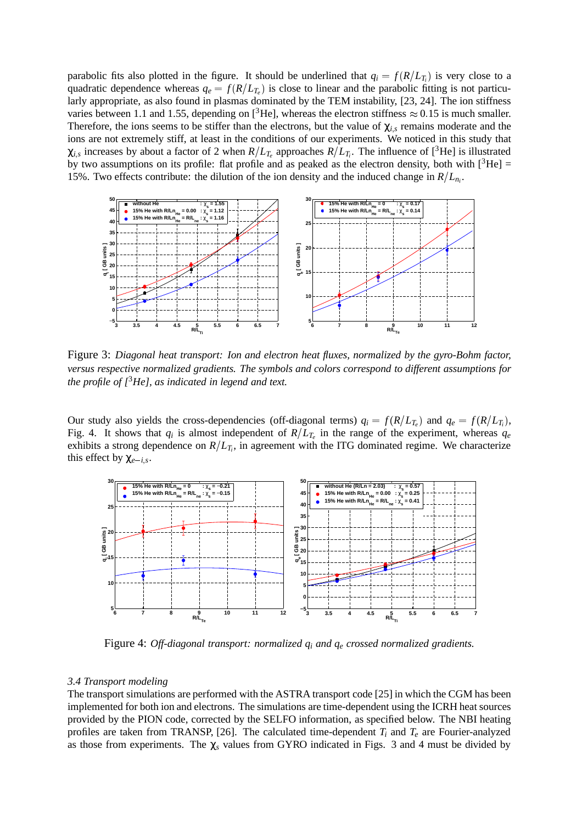parabolic fits also plotted in the figure. It should be underlined that  $q_i = f(R/L_i)$  is very close to a quadratic dependence whereas  $q_e = f(R/L_T)$  is close to linear and the parabolic fitting is not particularly appropriate, as also found in plasmas dominated by the TEM instability, [23, 24]. The ion stiffness varies between 1.1 and 1.55, depending on  $\beta^3$ He], whereas the electron stiffness  $\approx 0.15$  is much smaller. Therefore, the ions seems to be stiffer than the electrons, but the value of  $\chi_{i,s}$  remains moderate and the ions are not extremely stiff, at least in the conditions of our experiments. We noticed in this study that  $\chi_{i,s}$  increases by about a factor of 2 when  $R/L_{T_e}$  approaches  $R/L_{T_i}$ . The influence of [<sup>3</sup>He] is illustrated by two assumptions on its profile: flat profile and as peaked as the electron density, both with  $[^{3}He] =$ 15%. Two effects contribute: the dilution of the ion density and the induced change in  $R/L_{n_i}$ .



Figure 3: *Diagonal heat transport: Ion and electron heat fluxes, normalized by the gyro-Bohm factor, versus respective normalized gradients. The symbols and colors correspond to different assumptions for the profile of [*3*He], as indicated in legend and text.*

Our study also yields the cross-dependencies (off-diagonal terms)  $q_i = f(R/L_{T_e})$  and  $q_e = f(R/L_{T_i})$ , Fig. 4. It shows that  $q_i$  is almost independent of  $R/L_T$  in the range of the experiment, whereas  $q_e$ exhibits a strong dependence on  $R/L_{T_i}$ , in agreement with the ITG dominated regime. We characterize this effect by  $\chi_{e-i,s}$ .



Figure 4: *Off-diagonal transport: normalized qi and qe crossed normalized gradients.*

#### *3.4 Transport modeling*

The transport simulations are performed with the ASTRA transport code [25] in which the CGM has been implemented for both ion and electrons. The simulations are time-dependent using the ICRH heat sources provided by the PION code, corrected by the SELFO information, as specified below. The NBI heating profiles are taken from TRANSP,  $[26]$ . The calculated time-dependent  $T_i$  and  $T_e$  are Fourier-analyzed as those from experiments. The χ*<sup>s</sup>* values from GYRO indicated in Figs. 3 and 4 must be divided by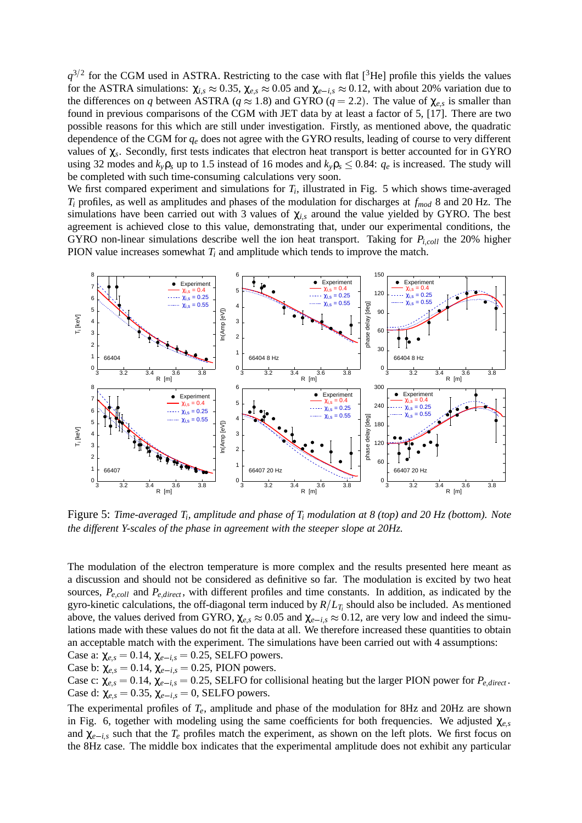$q^{3/2}$  for the CGM used in ASTRA. Restricting to the case with flat [<sup>3</sup>He] profile this yields the values for the ASTRA simulations:  $\chi_{i,s} \approx 0.35$ ,  $\chi_{e,s} \approx 0.05$  and  $\chi_{e-i,s} \approx 0.12$ , with about 20% variation due to the differences on *q* between ASTRA ( $q \approx 1.8$ ) and GYRO ( $q = 2.2$ ). The value of  $\chi_{e,s}$  is smaller than found in previous comparisons of the CGM with JET data by at least a factor of 5, [17]. There are two possible reasons for this which are still under investigation. Firstly, as mentioned above, the quadratic dependence of the CGM for *qe* does not agree with the GYRO results, leading of course to very different values of χ*s*. Secondly, first tests indicates that electron heat transport is better accounted for in GYRO using 32 modes and  $k_y \rho_s$  up to 1.5 instead of 16 modes and  $k_y \rho_s \le 0.84$ :  $q_e$  is increased. The study will be completed with such time-consuming calculations very soon.

We first compared experiment and simulations for  $T_i$ , illustrated in Fig. 5 which shows time-averaged *Ti* profiles, as well as amplitudes and phases of the modulation for discharges at *fmod* 8 and 20 Hz. The simulations have been carried out with 3 values of  $\chi_{i,s}$  around the value yielded by GYRO. The best agreement is achieved close to this value, demonstrating that, under our experimental conditions, the GYRO non-linear simulations describe well the ion heat transport. Taking for *Pi*;*coll* the 20% higher PION value increases somewhat *Ti* and amplitude which tends to improve the match.



Figure 5: *Time-averaged Ti, amplitude and phase of Ti modulation at 8 (top) and 20 Hz (bottom). Note the different Y-scales of the phase in agreement with the steeper slope at 20Hz.*

The modulation of the electron temperature is more complex and the results presented here meant as a discussion and should not be considered as definitive so far. The modulation is excited by two heat sources,  $P_{e,coll}$  and  $P_{e,direct}$ , with different profiles and time constants. In addition, as indicated by the gyro-kinetic calculations, the off-diagonal term induced by  $R/L_T$ ; should also be included. As mentioned above, the values derived from GYRO,  $\chi_{e,s} \approx 0.05$  and  $\chi_{e-i,s} \approx 0.12$ , are very low and indeed the simulations made with these values do not fit the data at all. We therefore increased these quantities to obtain an acceptable match with the experiment. The simulations have been carried out with 4 assumptions:

Case a:  $\chi_{e,s} = 0.14$ ,  $\chi_{e-i,s} = 0.25$ , SELFO powers. Case b:  $\chi_{e,s} = 0.14$ ,  $\chi_{e-i,s} = 0.25$ , PION powers.

Case c:  $\chi_{e,s} = 0.14$ ,  $\chi_{e-i,s} = 0.25$ , SELFO for collisional heating but the larger PION power for  $P_{e,direct}$ . Case d:  $\chi_{e,s} = 0.35$ ,  $\chi_{e-i,s} = 0$ , SELFO powers.

The experimental profiles of *Te*, amplitude and phase of the modulation for 8Hz and 20Hz are shown in Fig. 6, together with modeling using the same coefficients for both frequencies. We adjusted  $\chi_{e,s}$ and  $\chi_{e-i,s}$  such that the  $T_e$  profiles match the experiment, as shown on the left plots. We first focus on the 8Hz case. The middle box indicates that the experimental amplitude does not exhibit any particular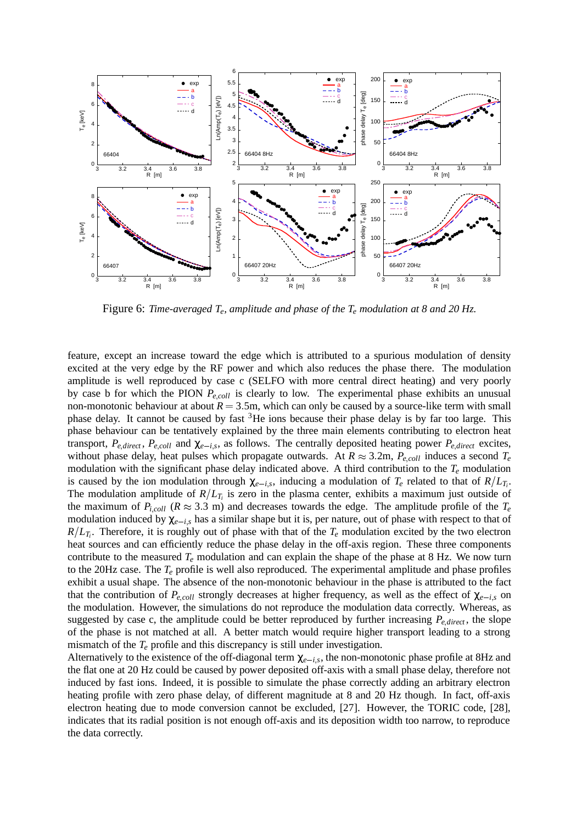

Figure 6: *Time-averaged Te, amplitude and phase of the Te modulation at 8 and 20 Hz.*

feature, except an increase toward the edge which is attributed to a spurious modulation of density excited at the very edge by the RF power and which also reduces the phase there. The modulation amplitude is well reproduced by case c (SELFO with more central direct heating) and very poorly by case b for which the PION  $P_{e,coll}$  is clearly to low. The experimental phase exhibits an unusual non-monotonic behaviour at about  $R = 3.5$ m, which can only be caused by a source-like term with small phase delay. It cannot be caused by fast  ${}^{3}$ He ions because their phase delay is by far too large. This phase behaviour can be tentatively explained by the three main elements contributing to electron heat transport,  $P_{e,direct}$ ,  $P_{e,coll}$  and  $\chi_{e-is}$ , as follows. The centrally deposited heating power  $P_{e,direct}$  excites, without phase delay, heat pulses which propagate outwards. At  $R \approx 3.2$ m,  $P_{e, coll}$  induces a second  $T_e$ modulation with the significant phase delay indicated above. A third contribution to the *Te* modulation is caused by the ion modulation through  $\chi_{e-i,s}$ , inducing a modulation of  $T_e$  related to that of  $R/L_{T_i}$ . The modulation amplitude of  $R/L_{T_i}$  is zero in the plasma center, exhibits a maximum just outside of the maximum of  $P_{i,coll}$  ( $R \approx 3.3$  m) and decreases towards the edge. The amplitude profile of the  $T_e$ modulation induced by  $\chi_{e-i,s}$  has a similar shape but it is, per nature, out of phase with respect to that of  $R/L_{T_i}$ . Therefore, it is roughly out of phase with that of the  $T_e$  modulation excited by the two electron heat sources and can efficiently reduce the phase delay in the off-axis region. These three components contribute to the measured  $T_e$  modulation and can explain the shape of the phase at 8 Hz. We now turn to the 20Hz case. The *Te* profile is well also reproduced. The experimental amplitude and phase profiles exhibit a usual shape. The absence of the non-monotonic behaviour in the phase is attributed to the fact that the contribution of  $P_{e\,coll}$  strongly decreases at higher frequency, as well as the effect of  $\chi_{e-is}$  on the modulation. However, the simulations do not reproduce the modulation data correctly. Whereas, as suggested by case c, the amplitude could be better reproduced by further increasing  $P_{e,direct}$ , the slope of the phase is not matched at all. A better match would require higher transport leading to a strong mismatch of the *Te* profile and this discrepancy is still under investigation.

Alternatively to the existence of the off-diagonal term  $\chi_{e-i,s}$ , the non-monotonic phase profile at 8Hz and the flat one at 20 Hz could be caused by power deposited off-axis with a small phase delay, therefore not induced by fast ions. Indeed, it is possible to simulate the phase correctly adding an arbitrary electron heating profile with zero phase delay, of different magnitude at 8 and 20 Hz though. In fact, off-axis electron heating due to mode conversion cannot be excluded, [27]. However, the TORIC code, [28], indicates that its radial position is not enough off-axis and its deposition width too narrow, to reproduce the data correctly.